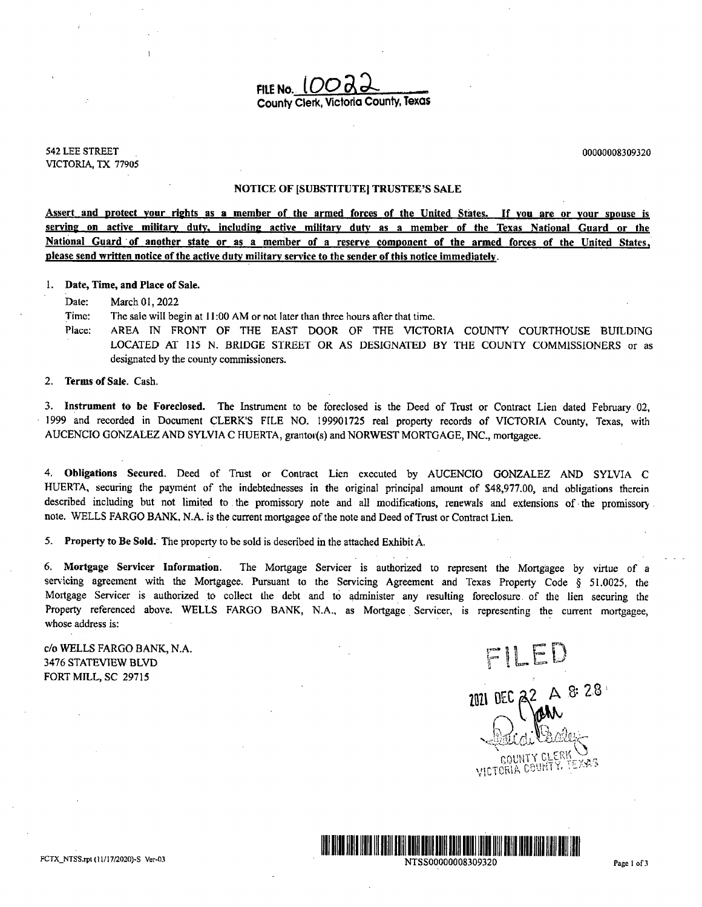FILE No.  $LOC$ County Clerk, Victoria County, Texas

542 LEE STREET 00000008309320 VICTORIA, TX 77905

#### NOTICE OF [SUBSTITUTE] TRUSTEE'S SALE

Assert and protect your rights as <sup>a</sup> member of the armed forces of the United States. If you are or your spouse is serving on active military duty, including active military duty as <sup>a</sup> member of the Texas National Guard or the National Guard of another state or as a member of a reserve component of the armed forces of the United States, please send written notice of the active duty military service to the sender of this notice immediately.

1. Date, Time, and Place of Sale.

Date: March 01, 2022

Time: The sale will begin at 11:00 AM or not later than three hours after that time.

Place: AREA IN FRONT OF THE EAST DOOR OF THE VICTORIA COUNTY COURTHOUSE BUILDING LOCATED AT 115 N. BRIDGE STREET OR AS DESIGNATED BY THE COUNTY COMMISSIONERS or as designated by the county commissioners.

2. Terms of Sale. Cash.

3. Instrument to be Foreclosed. The Instrument to be foreclosed is the Deed of Trust or Contract Lien dated February 02, 1999 and recorded in Document CLERK'S FILE NO. 199901725 real property records of VICTORIA County, Texas, with AUCENCIO GONZALEZ AND SYLVIA C HUERTA, grantor(s) and NORWEST MORTGAGE, INC., mortgagee.

4. Obligations Secured. Deed of Trust or Contract Lien executed by AUCENCIO GONZALEZ AND SYLVIA <sup>C</sup> HUERTA, securing the payment of the indebtednesses in the original principal amount of \$48,977.00, and obligations therein described including but not limited to the promissory note and all modifications, renewals and extensions of the promissory. note. WELLS FARGO BANK, N.A. is the current mortgagee of the note and Deed of Trust or Contract Lien.

5. Property to Be Sold. The property to be sold is described in the attached Exhibit A.

6. Mortgage Servicer Information. The Mortgage Servicer is authorized to represent the Mortgagee by virtue of <sup>a</sup> servicing agreement with the Mortgagee. Pursuant to the Servicing Agreement and Texas Property Code § 51.0025, the Mortgage Servicer is authorized to collect the debt and to administer any resulting foreclosure of the lien securing the Property referenced above. WELLS FARGO BANK, N.A., as Mortgage Servicer, is representing the current mortgagee, whose address is:

c/o WELLS FARGO BANK, N.A.  $\mathbb F\llbracket\Box\boxdot\mathbb E\rrbracket$ 3476 STATEVIEW BLVD FORT MILL, SC 29715

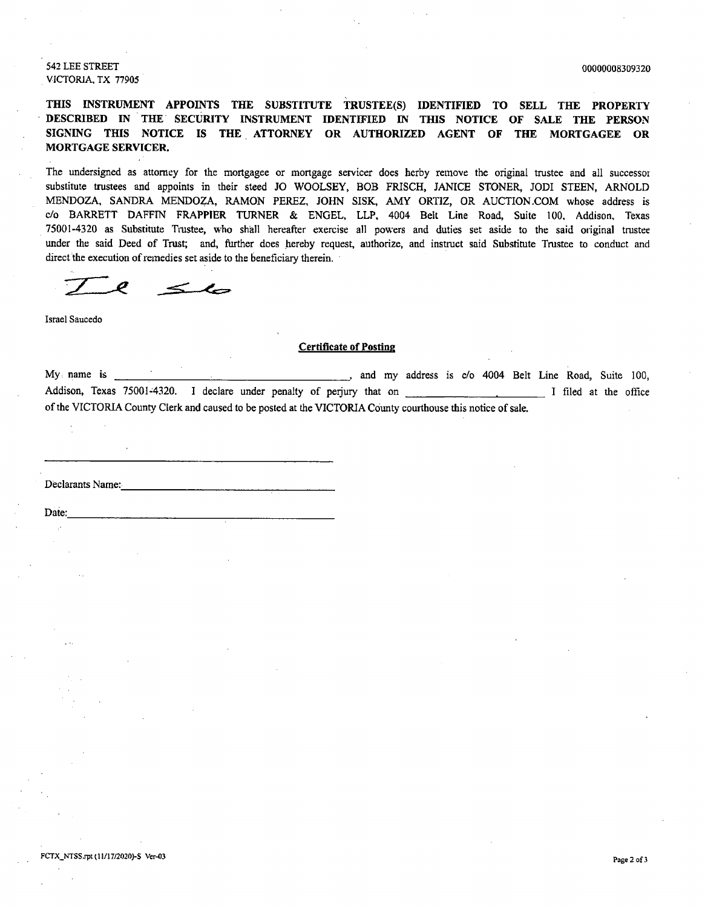542 LEE STREET 00000008309320 VICTORIA, TX 77905

THIS INSTRUMENT APPOINTS THE SUBSTITUTE TRUSTEE(S) IDENTIFIED TO SELL THE PROPERTY DESCRIBED IN THE. SECURITY INSTRUMENT IDENTIFIED IN THIS NOTICE OF SALE THE PERSON SIGNING THIS NOTICE IS THE ATTORNEY OR AUTHORIZED AGENT OF THE MORTGAGEE OR MORTGAGE SERVICER.

The undersigned as attorney for the mortgagee or mortgage servicer does herby remove the original trustee and all successor substitute trustees and appoints in their steed JO WOOLSEY, BOB FRISCH, JANICE STONER, JODI STEEN, ARNOLD MENDOZA, SANDRA MENDOZA, RAMON PEREZ, JOHN SISK, AMY ORTIZ, OR AUCTION. COM whose address is c/o BARRETT DAFFIN FRAPPIER TURNER & ENGEL, LLP, 4004 Belt Line Road, Suite 100, Addison, Texas 75001- 4320 as Substitute Trustee, who shall hereafter exercise all powers and duties set aside to the said original trustee under the said Deed of Trust; and, further does hereby request, authorize, and instruct said Substitute Trustee to conduct and direct the execution of remedies set aside to the beneficiary therein.

Ø  $\leq$ 

Israel Saucedo

#### Certificate of Posting

My name is **Allen Community 2003**, and my address is c/o 4004 Belt Line Road, Suite 100, Addison, Texas 75001-4320. I declare under penalty of perjury that on I successory and I filed at the office of the VICTORIA County Clerk and caused to be posted at the VICTORIA County courthouse this notice of sale.

Declarants Name:

Date: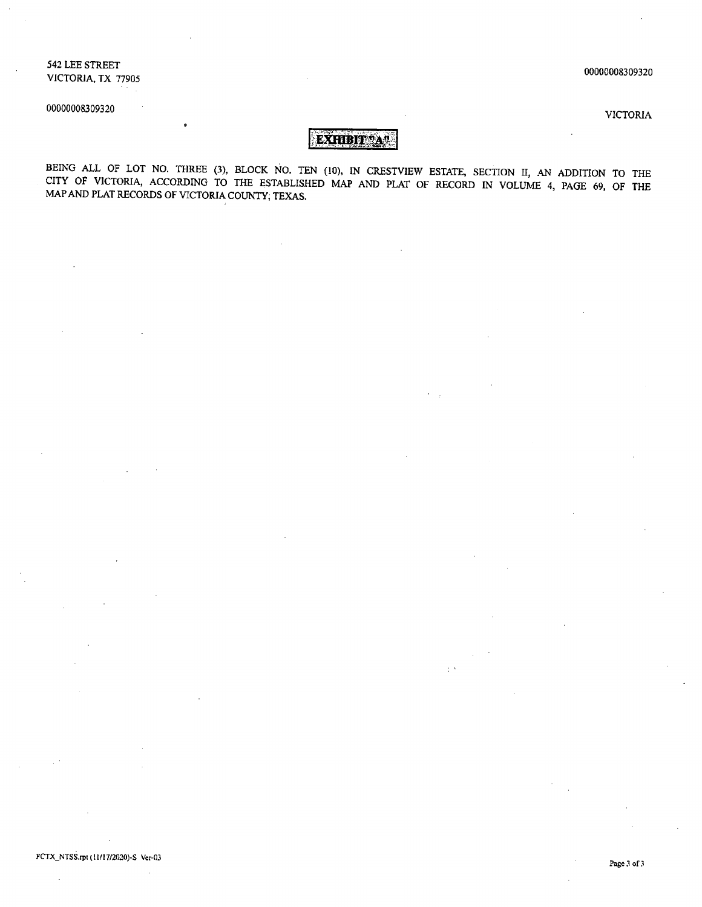542 LEE STREET VICTORIA, TX 77905

00000008309320

00000008309320

VICTORIA

### EXHIBIT \* A\*\*

BEING ALL OF LOT NO. THREE (3), BLOCK NO. TEN (10), IN CRESTVIEW ESTATE, SECTION II, AN ADDITION TO THE CITY OF VICTORIA, ACCORDING TO THE ESTABLISHED MAP AND PLAT OF RECORD IN VOLUME 4, PAGE 69, OF THE MAP AND PLAT RECORDS OF VICTORIA COUNTY; TEXAS.

 $\mathcal{I}^{\mathcal{A}}$ 

#### FCTX\_NTSS.rpt(11/17/2020)-S Ver-03

 $\sim$  $\overline{\phantom{a}}$ 

Page <sup>3</sup> of <sup>3</sup>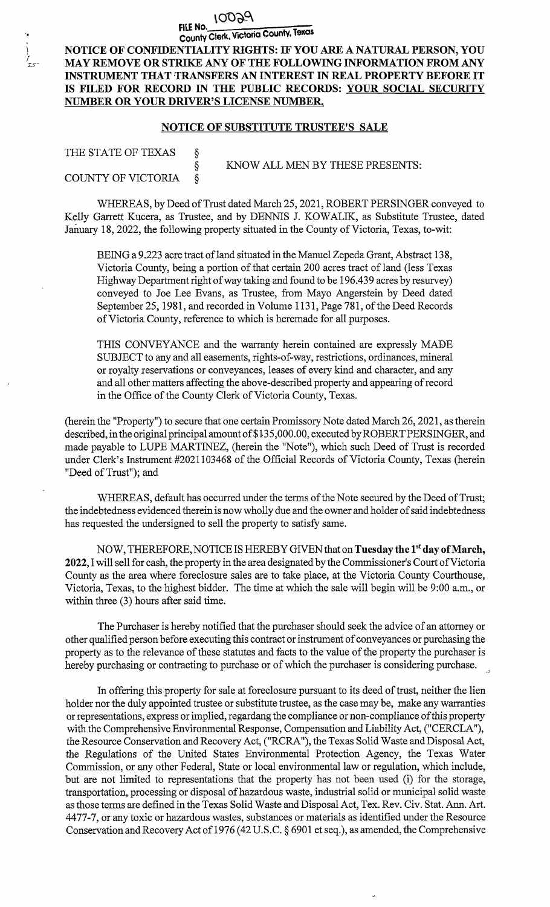### 10029

### FILE Ho. County Clerk, Victoria County, Texas

NOTICE OF CONFIDENTIALITY RIGHTS: IF YOU ARE A NATURAL PERSON, YOU MAY REMOVE OR STRIKE ANY OF THE FOLLOWING INFORMATION FROM ANY INSTRUMENT THAT TRANSFERS AN INTEREST IN REAL PROPERTY BEFORE IT IS FILED FOR RECORD IN THE PUBLIC RECORDS: YOUR SOCIAL SECURITY NUMBER OR YOUR DRIVER'S LICENSE NUMBER.

### NOTICE OF SUBSTITUTE TRUSTEE'S SALE

| THE STATE OF TEXAS      | KNOW ALL MEN BY THESE PRESENTS: |
|-------------------------|---------------------------------|
| COUNTY OF VICTORIA $\S$ |                                 |

WHEREAS, by Deed of Trust dated March 25, 2021, ROBERT PERSINGER conveyed to Kelly Garrett Kucera, as Trustee, and by DENNIS J. KOWALIK, as Substitute Trustee, dated January 18, 2022, the following property situated in the County of Victoria, Texas, to-wit:

BEING a 9.223 acre tract of land situated in the Manuel Zepeda Grant, Abstract 138, Victoria County, being <sup>a</sup> portion of that certain 200 acres tract of land ( less Texas Highway Department right of way taking and found to be 196.439 acres by resurvey) conveyed to Joe Lee Evans, as Trustee, from Mayo Angerstein by Deed dated September 25, 1981, and recorded in Volume 1131, Page 781, of the Deed Records ofVictoria County, reference to which is heremade for all purposes.

THIS CONVEYANCE and the warranty herein contained are expressly MADE SUBJECT to any and all easements, rights-of-way, restrictions, ordinances, mineral or royalty reservations or conveyances, leases of every kind and character, and any and all other matters affecting the above- described property and appearing ofrecord in the Office of the County Clerk of Victoria County, Texas.

herein the" Property") to secure that one certain Promissory Note dated March 26, 2021, as therein described, in the original principal amount of\$13 5, 000. 00, executed by ROBERT PERSINGER, and made payable to LUPE MARTINEZ, ( herein the " Note"), which such Deed of Trust is recorded under Clerk's Instrument #2021103468 of the Official Records of Victoria County, Texas (herein Deed of Trust"); and

WHEREAS, default has occurred under the terms of the Note secured by the Deed of Trust; the indebtedness evidenced therein is now wholly due and the owner and holder of said indebtedness has requested the undersigned to sell the property to satisfy same.

NOW, THEREFORE, NOTICE IS HEREBY GIVEN that on Tuesday the 1st day of March, 2022, I will sell for cash, the property in the area designated by the Commissioner's Court of Victoria County as the area where foreclosure sales are to take place, at the Victoria County Courthouse, Victoria, Texas, to the highest bidder. The time at which the sale will begin will be 9:00 a.m., or within three  $(3)$  hours after said time.

The Purchaser is hereby notified that the purchaser should seek the advice of an attorney or other qualified person before executing this contract or instrument of conveyances or purchasing the property as to the relevance of these statutes and facts to the value of the property the purchaser is hereby purchasing or contracting to purchase or of which the purchaser is considering purchase.

In offering this property for sale at foreclosure pursuant to its deed of trust, neither the lien holder nor the duly appointed trustee or substitute trustee, as the case may be, make any warranties or representations, express or implied, regardang the compliance or non- compliance ofthis property with the Comprehensive Environmental Response, Compensation and Liability Act, ("CERCLA"), the Resource Conservation and Recovery Act, (" RCRA"), the Texas Solid Waste and Disposal Act, the Regulations of the United States Environmental Protection Agency, the Texas Water Commission, or any other Federal, State or local environmental law or regulation, which include, but are not limited to representations that the property has not been used (i) for the storage, transportation, processing or disposal of hazardous waste, industrial solid or municipal solid waste as those terms are defined in the Texas Solid Waste and Disposal Act, Tex. Rev. Civ. Stat. Ann. Art. 4477-7, or any toxic or hazardous wastes, substances or materials as identified under the Resource Conservation and Recovery Act of 1976( <sup>42</sup> U.S. C. § <sup>6901</sup> et seq.), as amended, the Comprehensive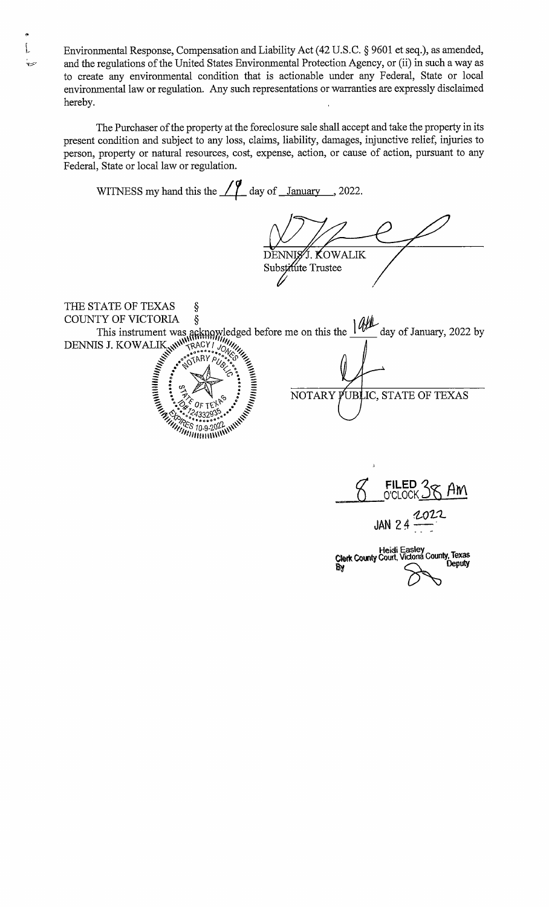Environmental Response, Compensation and Liability Act( 42 U.S. C. § 9601 et seq.), as amended, and the regulations of the United States Environmental Protection Agency, or (ii) in such a way as to create any environmental condition that is actionable under any Federal, State or local environmental law or regulation. Any such representations or warranties are expressly disclaimed hereby.

 $\int$ 

The Purchaser of the property at the foreclosure sale shall accept and take the property in its present condition and subject to any loss, claims, liability, damages, injunctive relief, injuries to person, property or natural resources, cost, expense, action, or cause of action, pursuant to any Federal, State or local law or regulation.

WITNESS my hand this the  $\angle\angle\angle\angle$  day of January , 2022. DENNIST. KOWALIK Substitute Trustee THE STATE OF TEXAS § COUNTY OF VICTORIA § This instrument was acknowledged before me on this the  $I^{''''}$  day of January, 2022 by DENNIS J. KOWALIK W<sup>WI</sup>RACY I JOURNALIK<br>
I STARY PUSSER SOLUTION ON ON OUR COMMUNISTICS e I z <sup>a</sup> a  $\epsilon_{\rm s}$  :  $\bar{\xi}$  NOTARY PUBLIC, STATE OF TEXAS  $\frac{Z_{\gamma_{1}}\left(\gamma_{2}\right)}{Z_{\gamma_{2}}\left(\gamma_{1}\right)}\approx 2433293^{2}\circ\cdot\cdot\cdot$ 7FS <sup>10</sup> <sup>9</sup> 202;\\' 99PPOPhB91\ 1\

8 FILED 38 AM t022 JAN  $24$ Heidi Easley<br>Clerk County Court, Victona County, Texa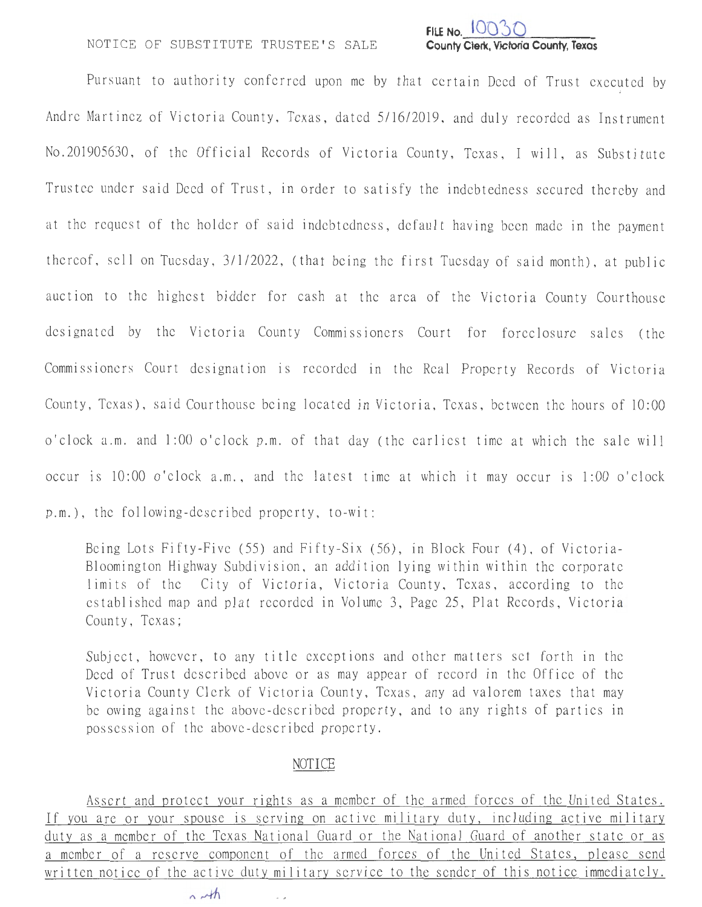### NOTICE OF SUBSTITUTE TRUSTEE'S SALE



Pursuant to authority conferred upon me by that certain Deed of Trust executed by Andre Martinez of Victoria County, Texas, dated 5/16/2019, and duly recorded as Instrument No.201905630, of the Official Records of Victoria County, Texas, I will, as Substitute Trustee under said Deed of Trust, in order to satisfy the indebtedness secured thereby and at the request of the holder of said indebtedness, default having been made in the payment thereof, sell on Tuesday, 3/1/2022, (that being the first Tuesday of said month), at public auction to the highest bidder for cash at the area of the Victoria County Courthouse designated by the Victoria County Commissioners Court for foreclosure sales (the Commissioners Court designation is recorded in the Real Property Records of Victoria County, Texas), said Courthouse being located in Victoria, Texas, between the hours of 10:00 o'clock a.m. and 1:00 o'clock p.m. of that day (the earliest time at which the sale will occur is  $10:00$  o'clock a.m., and the latest time at which it may occur is 1:00 o'clock p.m.), the following-described property, to-wit:

Being Lots Fifty-Five (55) and Fifty-Six (56), in Block Four (4), of Victoria-Bloomington Highway Subdivision, an addition lying within within the corporate limits of the City of Victoria, Victoria County, Texas, according to the established map and plat recorded in Volume 3, Page 25, Plat Records, Victoria County, Texas;

Subject, however, to any title exceptions and other matters set forth in the Deed of Trust described above or as may appear of record in the Office of the Victoria County Clerk of Victoria County, Texas, any ad va lorem taxes that may be owing against the above-described property, and to any rights of parties in possession of the above-described property.

### NOTICE

Assert and protect your rights as a member of the armed forces of the United States . If you are or your spouse is serving on active military duty, including active military duty as a member of the Texas National Guard or the National Guard of another state or as a member of a reserve component of the armed forces of the United States, please send written notice of the active duty military service to the sender of this notice immediately.

 $\ddot{\phantom{0}}$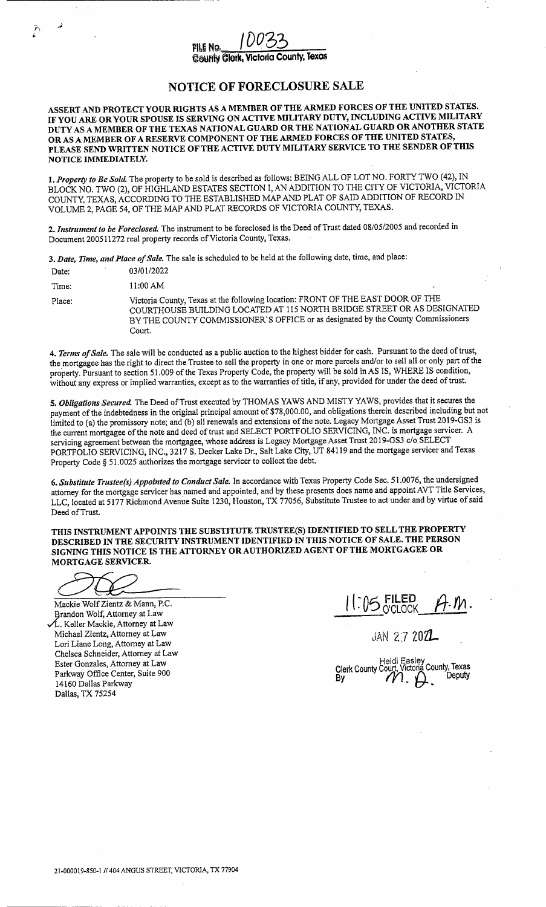### FILE NO. **County Clerk, Victoria County, Texas**

### NOTICE OF FORECLOSURE SALE

ASSERT AND PROTECT YOUR RIGHTS AS A MEMBER OF THE ARMED FORCES OF THE UNITED STATES. IF YOU ARE OR YOUR SPOUSE IS SERVING ON ACTIVE MILITARY DUTY, INCLUDING ACTIVE MILITARY DUTY AS A MEMBER OF THE TEXAS NATIONAL GUARD OR THE NATIONAL GUARD OR ANOTHER STATE OR AS A MEMBER OF A RESERVE COMPONENT OF THE ARMED FORCES OF THE UNITED STATES, PLEASE SEND WRITTEN NOTICE OF THE ACTIVE DUTY MILITARY SERVICE TO THE SENDER OF THIS NOTICE IMMEDIATELY.

1. Property to Be Sold. The property to be sold is described as follows: BEING ALL OF LOT NO. FORTY TWO (42), IN BLOCK NO. TWO (2), OF HIGHLAND ESTATES SECTION I, AN ADDITION TO THE CITY OF VICTORIA, VICTORIA COUNTY, TEXAS, ACCORDING TO THE ESTABLISHED MAP AND PLAT OF SAID ADDITION OF RECORD IN VOLUME 2, PAGE 54, OF THE MAP AND PLAT RECORDS OF VICTORIA COUNTY, TEXAS.

2. Instrument to be Foreclosed. The instrument to be foreclosed is the Deed of Trust dated 08/05/2005 and recorded in Document 200511272 real property records of Victoria County, Texas.

3. Date, Time, and Place of Sale. The sale is scheduled to be held at the following date, time, and place:

| Date:  | 03/01/2022                                                                                                                                                                                                                                               |                          |
|--------|----------------------------------------------------------------------------------------------------------------------------------------------------------------------------------------------------------------------------------------------------------|--------------------------|
| Time:  | 11:00 AM                                                                                                                                                                                                                                                 | $\overline{\phantom{a}}$ |
| Place: | Victoria County, Texas at the following location: FRONT OF THE EAST DOOR OF THE<br>COURTHOUSE BUILDING LOCATED AT 115 NORTH BRIDGE STREET OR AS DESIGNATED<br>BY THE COUNTY COMMISSIONER'S OFFICE or as designated by the County Commissioners<br>Court. |                          |

4. Terms of Sale. The sale will be conducted as a public auction to the highest bidder for cash. Pursuant to the deed of trust, the mortgagee has the right to direct the Trustee to sell the property in one or more parcels and/or to sell all or only part of the property. Pursuant to section 51. 009 of the Texas Property Code, the property will be sold in AS IS, WHERE IS condition, without any express or implied warranties, except as to the warranties of title, if any, provided for under the deed of trust.

5. Obligations Secured. The Deed of Trust executed by THOMAS YAWS AND MISTY YAWS, provides that it secures the payment of the indebtedness in the original principal amount of \$78,000.00, and obligations therein described including but not limited to (a) the promissory note; and (b) all renewals and extensions of the note. Legacy Mortgage Asset Trust 2019-GS3 is the current mortgagee of the note and deed of trust and SELECT PORTFOLIO SERVICING, INC. is mortgage servicer. A servicing agreement between the mortgagee, whose address is Legacy Mortgage Asset Trust 2019-GS3 c/o SELECT PORTFOLIO SERVICING, INC., 3217 S. Decker Lake Dr., Salt Lake City, UT 84119 and the mortgage servicer and Texas Property Code § 51.0025 authorizes the mortgage servicer to collect the debt.

6. Substitute Trustee(s) Appointed to Conduct Sale. In accordance with Texas Property Code Sec. 51.0076, the undersigned attorney for the mortgage servicer has named and appointed, and by these presents does name and appoint AVT Title Services, LLC, located at 5177 Richmond Avenue Suite 1230, Houston, TX 77056, Substitute Trustee to act under and by virtue of said Deed of Trust.

THIS INSTRUMENT APPOINTS THE SUBSTITUTE TRUSTEE(S) IDENTIFIED TO SELL THE PROPERTY DESCRIBED IN THE SECURITY INSTRUMENT IDENTIFIED IN THIS NOTICE OF SALE. THE PERSON SIGNING THIS NOTICE IS THE ATTORNEY OR AUTHORIZED AGENT OF THE MORTGAGEE OR MORTGAGE SERVICER

.<br>P

Mackie Wolf Zientz & Mann, P.C. Brandon Wolf, Attorney at Law L. Keller Mackie, Attorney at Law  $Michel Zientz$ , Attorney at Law  $\downarrow$  AN 2.7 2021 Lori Liane Long, Attorney at Law Chelsea Schneider, Attorney at Law Ester Gonzales, Attorney at Law<br>Parkway Office Center, Suite 900 14160 Dallas Parkway Dallas, TX 75254

 $1.05$  FILED<br>O'CLOCK

Parkway Office Center, Suite 900 Clerk County County County County, Texas County, Texas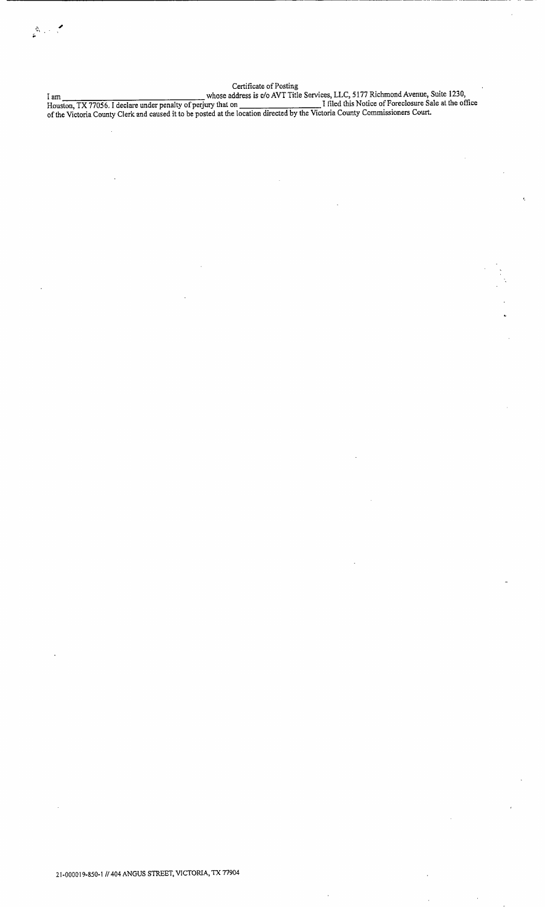Certificate of Posting I am  $\mu$  whose address is c/o AVT Title Services, LLC, 5177 Richmond Avenue, Suite 1230, Houston, TX 77056. I declare under penalty of perjury that on I filed this Notice of Foreclosure Sale at the office ofthe Victoria County Clerk and caused it to be posted at the location directed by the Victoria County Commissioners Court.

 $\sum_{\mathbf{r}}^{N_{\mathrm{max}}}\left( \mathbf{r}^{\mathbf{r}}_{\mathbf{r}}\right) ^{T_{\mathrm{max}}},$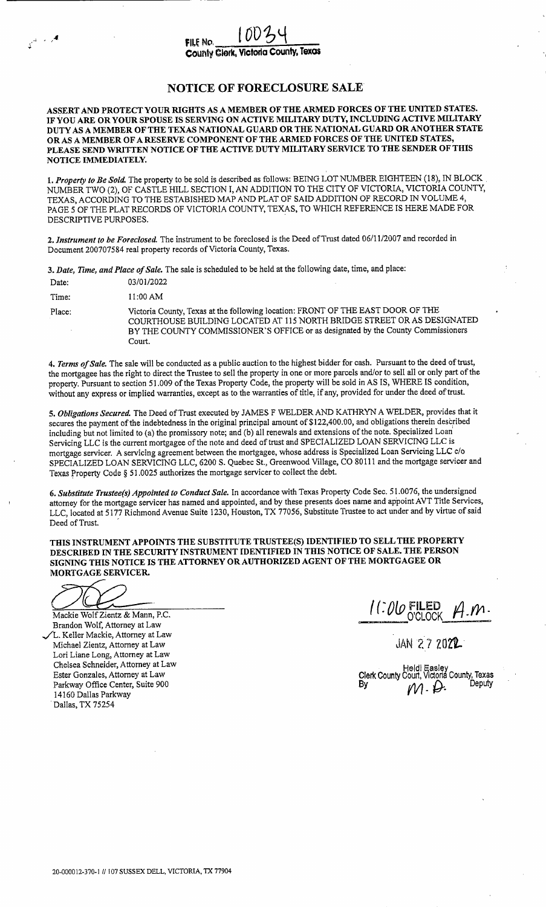County Clerk, Victoria County, Texas

### NOTICE OF FORECLOSURE SALE

ASSERT AND PROTECT YOUR RIGHTS AS A MEMBER OF THE ARMED FORCES OF THE UNITED STATES. IF YOU ARE OR YOUR SPOUSE IS SERVING ON ACTIVE MILITARY DUTY, INCLUDING ACTIVE MILITARY DUTY AS A MEMBER OF THE TEXAS NATIONAL GUARD OR THE NATIONAL GUARD OR ANOTHER STATE OR AS A MEMBER OF A RESERVE COMPONENT OF THE ARMED FORCES OF THE UNITED STATES, PLEASE SEND WRITTEN NOTICE OF THE ACTIVE DUTY MILITARY SERVICE TO THE SENDER OF THIS NOTICE IMMEDIATELY.

1. Property to Be Sold. The property to be sold is described as follows: BEING LOT NUMBER EIGHTEEN (18), IN BLOCK NUMBER TWO( 2), OF CASTLE HILL SECTION I, AN ADDITION TO THE CITY OF VICTORIA, VICTORIA COUNTY, TEXAS, ACCORDING TO THE ESTABISHED MAP AND PLAT OF SAID ADDITION OF RECORD IN VOLUME 4, PAGE 5 OF THE PLAT RECORDS OF VICTORIA COUNTY, TEXAS, TO WHICH REFERENCE IS HERE MADE FOR DESCRIPTIVE PURPOSES.

2. Instrument to be Foreclosed. The instrument to be foreclosed is the Deed of Trust dated 06/11/2007 and recorded in Document 200707584 real property records of Victoria County, Texas.

3. Date, Time, and Place of Sale. The sale is scheduled to be held at the following date, time, and place:

| Date:  | 03/01/2022                                                                                                                                                                                                                                               |
|--------|----------------------------------------------------------------------------------------------------------------------------------------------------------------------------------------------------------------------------------------------------------|
| Time:  | $11:00 \text{ AM}$                                                                                                                                                                                                                                       |
| Place: | Victoria County, Texas at the following location: FRONT OF THE EAST DOOR OF THE<br>COURTHOUSE BUILDING LOCATED AT 115 NORTH BRIDGE STREET OR AS DESIGNATED<br>BY THE COUNTY COMMISSIONER'S OFFICE or as designated by the County Commissioners<br>Court. |

4. Terms of Sale. The sale will be conducted as a public auction to the highest bidder for cash. Pursuant to the deed of trust, the mortgagee has the right to direct the Trustee to sell the property in one or more parcels and/or to sell all or only part of the property. Pursuant to section 51. 009 of the Texas Property Code, the property will be sold in AS IS, WHERE IS condition, without any express or implied warranties, except as to the warranties of title, if any, provided for under the deed oftrust.

5. Obligations Secured. The Deed of Trust executed by JAMES F WELDER AND KATHRYN A WELDER, provides that it secures the payment of the indebtedness in the original principal amount of \$122,400.00, and obligations therein described including but not limited to (a) the promissory note; and (b) all renewals and extensions of the note. Specialized Loan Servicing LLC is the current mortgagee of the note and deed of trust and SPECIALIZED LOAN SERVICING LLC is mortgage servicer. A servicing agreement between the mortgagee, whose address is Specialized Loan Servicing LLC c/o SPECIALIZED LOAN SERVICING LLC, 6200 S. Quebec St., Greenwood Village, CO 80111 and the mortgage servicer and Texas Property Code§ 51. 0025 authorizes the mortgage servicer to collect the debt.

6. Substitute Trustee(s) Appointed to Conduct Sale. In accordance with Texas Property Code Sec. 51.0076, the undersigned 6. Substitute Trustee(s) Appointed to Conduct Sale. In accordance with Texas Property Code Sec. 51.0076, the undersigned<br>attorney for the mortgage servicer has named and appointed, and by these presents does name and appoi LLC, located at 5177 Richmond Avenue Suite 1230, Houston, TX 77056, Substitute Trustee to act under and by virtue of said Deed of Trust.

THIS INSTRUMENT APPOINTS THE SUBSTITUTE TRUSTEE(S) IDENTIFIED TO SELL THE PROPERTY DESCRIBED IN THE SECURITY INSTRUMENT IDENTIFIED IN THIS NOTICE OF SALE. THE PERSON SIGNING THIS NOTICE IS THE ATTORNEY OR AUTHORIZED AGENT OF THE MORTGAGEE OR MORTGAGE SERVICER.

Mackie Wolf Zientz & Mann, P.C. Brandon Wolf, Attorney at Law L. Keller Mackie, Attorney at Law Michael Zientz, Attorney at Law Lori Liane Long, Attorney at Law Chelsea Schneider, Attorney at Law<br>Ester Gonzales, Attorney at Law Parkway Office Center, Suite 900 <sup>14160</sup> Dallas Parkway <sup>f</sup> Dallas, TX 75254

 $\mu$ i 1 (: 010 FILED

JAN 27 2022

Ester Gonzales, Attorney at Law Clerk County Court, Victoria County, Texas  $M \cdot \mathcal{D}$ . Deputy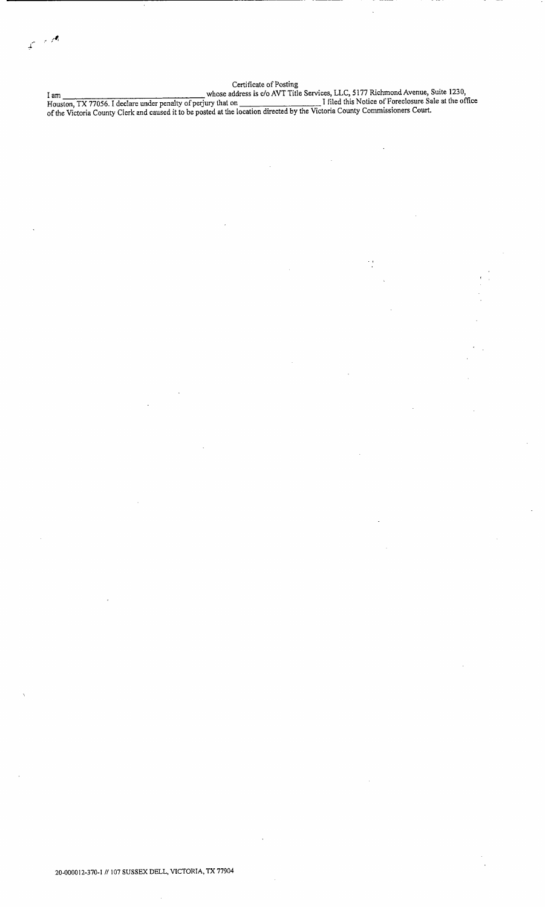$\mathcal{L}(\mathcal{A})$ تنبي

#### Certificate of Posting

I am whose address is c/o AVT Title Services, LLC, 5177 Richmond Avenue, Suite 1230, Houston, TX 77056. I declare under penalty of perjury that on I filed this Notice of Foreclosure Sale at the office ofthe Victoria County Clerk and caused it to be posted at the location directed by the Victoria County Commissioners Court.

 $\ddot{\phantom{0}}$ 

20- 000012- 370- 1// <sup>107</sup> SUSSEX DELL, VICTORIA, TX <sup>77904</sup>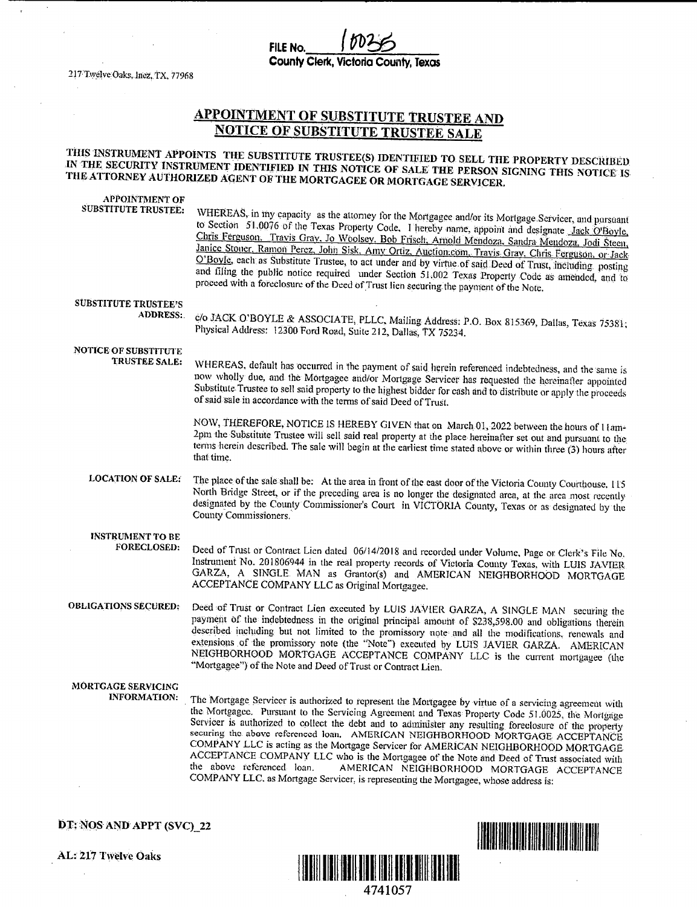County Clerk, Victoria County, Texas

FILE No.

217 Twelve Oaks, Inez, TX, 77968

 $\ddot{\phantom{a}}$ 

### APPOINTMENT OF SUBSTITUTE TRUSTEE AND NOTICE OF SUBSTITUTE TRUSTEE SALE

### THIS INSTRUMENT APPOINTS THE SUBSTITUTE TRUSTEE(S) IDENTIFIED TO SELL THE PROPERTY DESCRIBED.<br>IN THE SECURITY INSTRUMENT IDENTIFIED IN THIS NOTICE OF SALE THE PERSON SIGNING THIS NOTICE IS THE ATTORNEY AUTHORIZED AGENT OF THE MORTGAGEE OR MORTGAGE SERVICER.

| <b>APPOINTMENT OF</b><br>SUBSTITUTE TRUSTEE:   | WHEREAS, in my capacity as the attorney for the Mortgagee and/or its Mortgage Servicer, and pursuant<br>to Section 51.0076 of the Texas Property Code. I hereby name, appoint and designate Jack O'Boyle.<br>Chris Ferguson. Travis Gray, Jo Woolsey, Bob Frisch, Arnold Mendoza, Sandra Mendoza, Jodi Steen,<br>Janice Stouer, Ramon Perez, John Sisk, Amy Ortiz, Auction.com, Travis Gray, Chris Ferguson, or Jack<br>O'Boyle, each as Substitute Trustee, to act under and by virtue of said Deed of Trust, including posting<br>and filing the public notice required under Section 51,002 Texas Property Code as amended, and to<br>proceed with a foreclosure of the Deed of Trust lien securing the payment of the Note.                           |
|------------------------------------------------|-----------------------------------------------------------------------------------------------------------------------------------------------------------------------------------------------------------------------------------------------------------------------------------------------------------------------------------------------------------------------------------------------------------------------------------------------------------------------------------------------------------------------------------------------------------------------------------------------------------------------------------------------------------------------------------------------------------------------------------------------------------|
| <b>SUBSTITUTE TRUSTEE'S</b><br><b>ADDRESS:</b> | c/o JACK O'BOYLE & ASSOCIATE, PLLC, Mailing Address: P.O. Box 815369, Dallas, Texas 75381;<br>Physical Address: 12300 Ford Road, Suite 212, Dallas, TX 75234.                                                                                                                                                                                                                                                                                                                                                                                                                                                                                                                                                                                             |
| <b>NOTICE OF SUBSTITUTE</b><br>TRUSTEE SALE:   | WHEREAS, default has occurred in the payment of said herein referenced indebtedness, and the same is<br>now wholly due, and the Mortgagee and/or Mortgage Servicer has requested the hereinafter appointed<br>Substitute Trustee to sell said property to the highest bidder for cash and to distribute or apply the proceeds<br>of said sale in accordance with the terms of said Deed of Trust.                                                                                                                                                                                                                                                                                                                                                         |
|                                                | NOW, THEREFORE, NOTICE IS HEREBY GIVEN that on March 01, 2022 between the hours of Ham-<br>2pm the Substitute Trustee will sell said real property at the place hereinafter set out and pursuant to the<br>terms herein described. The sale will begin at the earliest time stated above or within three (3) hours after<br>that time.                                                                                                                                                                                                                                                                                                                                                                                                                    |
| <b>LOCATION OF SALE:</b>                       | The place of the sale shall be: At the area in front of the east door of the Victoria County Courthouse, 115<br>North Bridge Street, or if the preceding area is no longer the designated area, at the area most recently<br>designated by the County Commissioner's Court in VICTORIA County, Texas or as designated by the<br>County Commissioners.                                                                                                                                                                                                                                                                                                                                                                                                     |
| <b>INSTRUMENT TO BE</b><br><b>FORECLOSED:</b>  | Deed of Trust or Contract Lien dated 06/14/2018 and recorded under Volume, Page or Clerk's File No.<br>Instrument No. 201806944 in the real property records of Victoria County Texas, with LUIS JAVIER<br>GARZA, A SINGLE MAN as Grantor(s) and AMERICAN NEIGHBORHOOD MORTGAGE<br>ACCEPTANCE COMPANY LLC as Original Mortgagee.                                                                                                                                                                                                                                                                                                                                                                                                                          |
| <b>OBLIGATIONS SECURED:</b>                    | Deed of Trust or Contract Lien executed by LUIS JAVIER GARZA, A SINGLE MAN securing the<br>payment of the indebtedness in the original principal amount of \$238,598.00 and obligations therein<br>described including but not limited to the promissory note and all the modifications, renewals and<br>extensions of the promissory note (the "Note") executed by LUIS JAVIER GARZA. AMERICAN<br>NEIGHBORHOOD MORTGAGE ACCEPTANCE COMPANY LLC is the current mortgagee (the<br>"Mortgagee") of the Note and Deed of Trust or Contract Lien.                                                                                                                                                                                                             |
| MORTGAGE SERVICING<br><b>INFORMATION:</b>      | The Mortgage Servicer is authorized to represent the Mortgagee by virtue of a servicing agreement with<br>the Mortgagee. Pursuant to the Servicing Agreement and Texas Property Code 51.0025, the Mortgage<br>Servicer is authorized to collect the debt and to administer any resulting foreclosure of the property<br>securing the above referenced loan. AMERICAN NEIGHBORHOOD MORTGAGE ACCEPTANCE<br>COMPANY LLC is acting as the Mortgage Servicer for AMERICAN NEIGHBORHOOD MORTGAGE<br>ACCEPTANCE COMPANY LLC who is the Mortgagee of the Note and Deed of Trust associated with<br>the above referenced loan.<br>AMERICAN NEIGHBORHOOD MORTGAGE ACCEPTANCE<br>COMPANY LLC, as Mortgage Servicer, is representing the Mortgagee, whose address is: |

DT: NOS AND APPT (SVC)\_22

AL: <sup>217</sup> Twelve Oaks



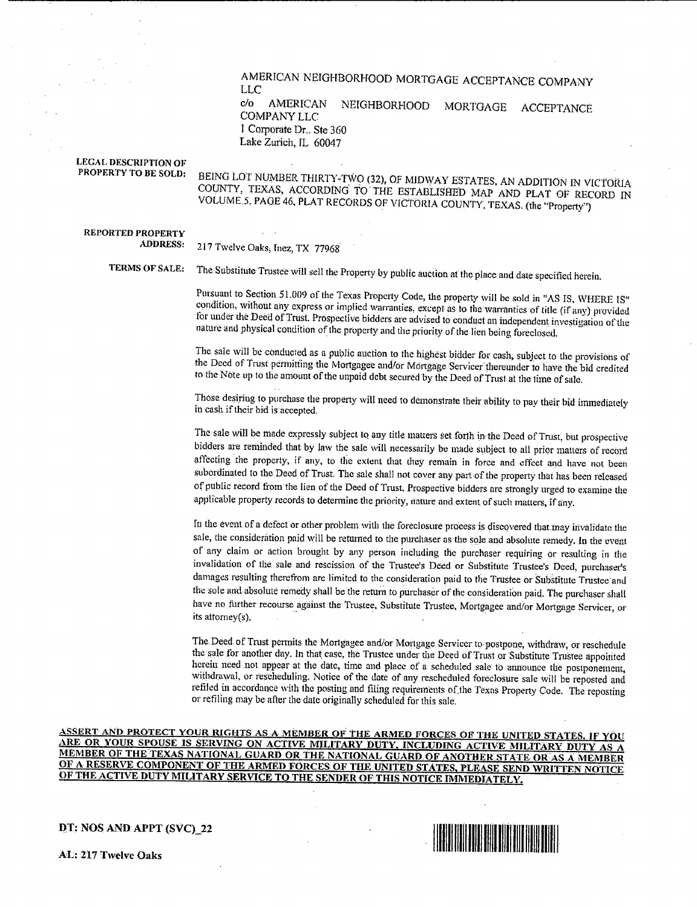### AMERICAN NEIGHBORHOOD MORTGAGE ACCEPTANCE COMPANY LLC

eio AMERICAN NEIGHBORHOOD MORTGAGE ACCEPTANCE COMPANY LLC I Corporate Dr.. Ste 360 Lake Zurich, IL 60047

#### LEGAL DESCRIPTION OF PROPERTY TO BE SOLD:

BEING LOT NUMBER THIRTY-TWO( 32), OF MIDWAY ESTATES, AN ADDITION IN VICTORIA COUNTY, TEXAS, ACCORDING TO THE ESTABLISHED MAP AND PLAT OF RECORD IN VOLUME; 5, PAGE 46, PLAT RECORDS OF VICTORIA COUNTY, TEXAS.( the" Property")

### REPORTED PROPERTY<br>ADDRESS:

217 Twelve Oaks, Inez, TX 77968

TERMS OF SALE: The Substitute Trustee will sell the Property by public auction at the place and date specified herein.

Pursuant to Section 51.009 of the Texas Property Code, the property will be sold in "AS IS, WHERE IS" condition, without any express or implied warranties, except as to the warranties of title (if any) provided for under the Deed of Trust. Prospective bidders are advised to conduct an independent investigation of the nature and physical condition of the property and the priority of the lien being foreclosed.

 $T_{\text{net}}$  is a public and the sale will be conducted as a public automated bidder for cash, subject to the provisions of the Deed of Trust permitting the Mortgagee and/or Mortgage Servicer thereunder to have the bid credited to the Note up to the amount of the unpaid debt secured by the Deed of Trust at the tune of sale.

Those desiring to purchase the property will need to demonstrate their ability to pay their bid immediately in cash if their bid is accepted.

The sale will be made expressly subject to any title matters set forth in the Deed of Trust, but prospective bidders are reminded that by law the sale will necessarily be made subject to all prior matters of record affecting the property, if any, to the extent that they remain in force and effect and have not been subordinated to the Deed of Trust. The sale shall not cover any part of the property that has been released of public record from the lien of the Deed of Trust. Prospective bidders are strongly urged to examine the applicable property records to determine the priority, nature and extent of such matters, if any.

In the event of a defect or other problem with the foreclosure process is discovered that may invalidate the sale, the consideration paid will be returned to the purchaser as the sole and absolute remedy. In the event of any claim or action brought by any person including the purchaser requiring or resulting in the invalidation of the sale and rescission of the Trustee's Deed or Substitute Trustee's Deed, purchaser's damages resulting therefrom are limited to the consideration paid to the Trustee or Substitute Trustee and the sole and absolute remedy shall be the return to purchaser of the consideration paid. The purchaser shall have no further recourse against the Trustee, Substitute Trustee, Mortgagee and/or Mortgage Servicer, or its attorney(s).

The Deed of Trust permits the Mortgagee and/or Mortgage Servicer to postpone, withdraw, or reschedule the sale for another day. In that case, the Trustee under the Deed of Trust or Substitute Trustee appointed herein need not appear at the date, time and place of a scheduled sale to announce the postponement, withdrawal, or rescheduling. Notice of the date of any rescheduled foreclosure sale will be reposred and refiled in accordance with the posting and filing requirements of the Texas Property Code, The reposting or refiling may be after the date originally scheduled for this sale.

ASSERT AND PROTECT YOUR RIGHTS AS A MEMBER OF THE ARMED FORCES OF THE UNITED STATES. IF YOU ARE OR YOUR SPOUSE IS SERVING ON ACTIVE MILITARY DUTY, INCLUDING ACTIVE MILITARY DUTY AS A MEMBER OF THE TEXAS NATiONAL GUARD OR THE NATIONAL GUARD OF ANOTHER STATE OR AS A MEMBER OF A RESERVE COMPONENT OF THE ARMED FORCES OF THE UNITED STATES, PLEASE SEND WRITTEN NOTICE OF THE ACTIVE DUTY MILITARY SERVICE TO THE SENDER OF THiS NOTICE IMMEDiATELY.

DT: NOS AND APPT (SVC) 22

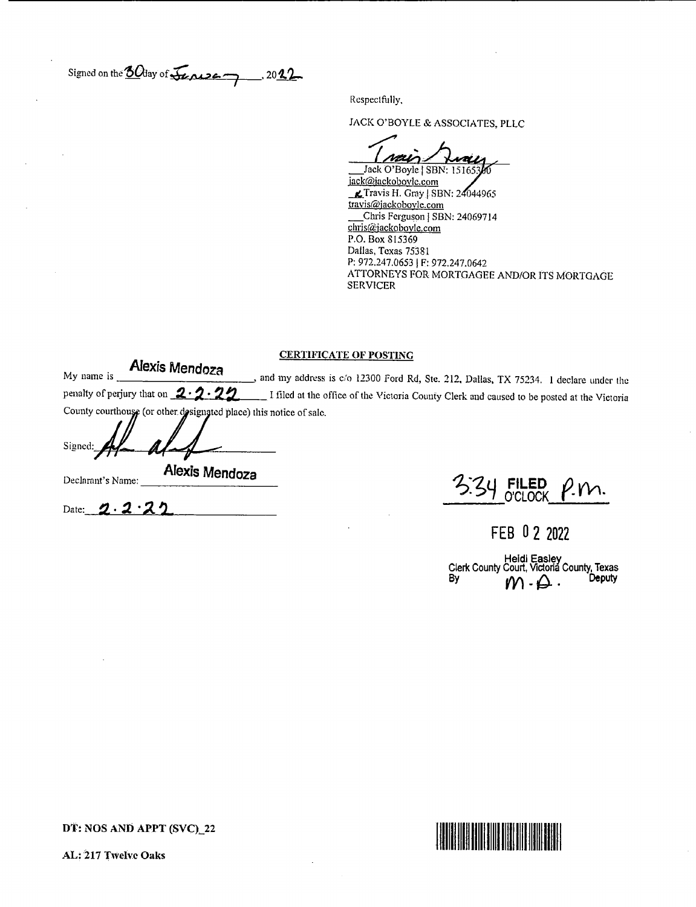Signed on the  $60$  day of  $\sqrt{2}$   $\sqrt{22}$  , 2012

Respectfully,

JACK O' BOYLE& ASSOCIATES. PLLC

Jack O'Boyle | SBN: 15165

jack@jackobovle.com  $K$ Travis H. Gray | SBN: 24044965 travis@jackoboyle.com Chris Ferguson | SBN: 24069714 chris@jackobovle.com P.O. Box 815369 Dallas, Texas 75381 P: 972.247.0653 | F: 972.247.0642 ATTORNEYS FOR MORTGAGEE AND/OR ITS MORTGAGE SERVICER

### CERTIFICATE OF POSTING

My name is **Alexis Mendoza** and my address is c/o 12300 Ford Rd, Ste. 212, Dallas, TX 75234. 1 declare under the penalty of perjury that on  $\cancel{2\cdot2\cdot2}$  I filed at the office of the Victoria County Clerk and caused to be posted at the Victoria County courthouse (or other designated place) this notice of sale.

| Signed: | -                      |
|---------|------------------------|
|         |                        |
|         | Alovin 11.<br>-- 1<br> |

Date:  $\mathcal{D} \cdot \mathcal{Z}$  •

 $D$ eclarant's Name:  $\overline{A}$ lexis Mendoza<br>Declarant's Name:  $\overline{A}$ ' $\overline{C}$ u FILED m. **O'CLOCK** 

FEB 0 2 2022

Clerk County Court, Victoria County, Texas  $\mathcal{W}$  .  $\mathcal{L}$  . Deputy

DT: NOS AND APPT (SVC)\_22



AL: 217 Twelve Oaks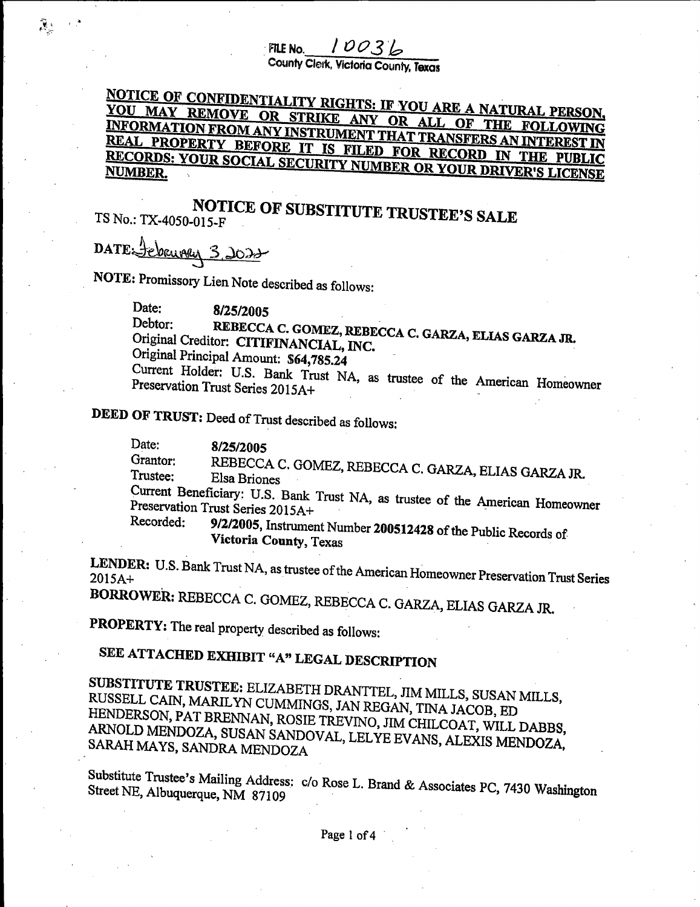FILE NO.  $10036$ 

County Clerk, Victoria County, Texas

## NOTICE OF CONFIDENTIALITY RIGHTS: IF YOU ARE A NATURAL PERSON, YOU MAY REMOVE OR STRIKE ANY OR ALL OF THE FOLLOWING INFORMATION FROM ANY INSTRIMENT THAT TO ANGLE OF THE FOLLOWING REAL PROPERTY BEFORE IT IS FILED FOR BEGOND ANIMIEREST IN RECORDS: YOUR SOCIAL SECURITY NUMBER OR YOUR DRIVER'S LICENSE<br>NUMBER.

# NOTICE OF SUBSTITUTE TRUSTEE'S SALE TS No.: TX-4050-015-F

DATE Sebruary 3, 2022

्हें हैं:

NOTE: Promissory Lien Note described as follows:

Date: 8/25/2005 Debtor: REBECCA C. GOMEZ, REBE<br>Original Creditor: CITIFINANCIAL, INC. REBECCA C. GOMEZ, REBECCA C. GARZA, ELIAS GARZA JR. Original Principal Amount: \$64,785.24 Current Holder: U.S. Bank Trust NA, Preservation Trust Series 2015A+

DEED OF TRUST: Deed of Trust described as follows:

Date: 8/25/2005 Grantor: Grantor: REBECCA C. GOMEZ, REBECCA C. GARZA, ELIAS GARZA JR.<br>Trustee: Elsa Briones Current Beneficiary: U.S. Bank Trust NA, as trustee of the American Homeowner Preservation Trust Series 2015A+ Recorded:

9/2/2005, Instrument Number <sup>200512428</sup> of the Public Records of Victoria County, Texas

LENDER: U.S. Bank Trust NA, as trustee of the American Homeowner Preservation Trust Series

BORROWER: REBECCA C. GOMEZ, REBECCA C. GARZA, ELIAS GARZA JR.

PROPERTY: The real property described as follows:

## SEE ATTACHED EXHIBIT "A" LEGAL DESCRIPTION

SUBSTITUTE TRUSTEE: ELIZABETH DRANTTEL, JIM MILLS, SUSAN MILLS, RUSSELL CAIN, MARILYN CUMMINGS, JAN REGAN, TINA JACOB, ED ARNOLD MENDOZA, SUSAN SANDOVAL, LEI VINO, JIM CHILCOAT, WILL DABBS, SARAH MAYS, SANDRA MENDOZA

Substitute Trustee's Mailing Address: c/o Rose L. Brand & Associates PC, 7430 Washington Street NE, Albuquerque, NM 87109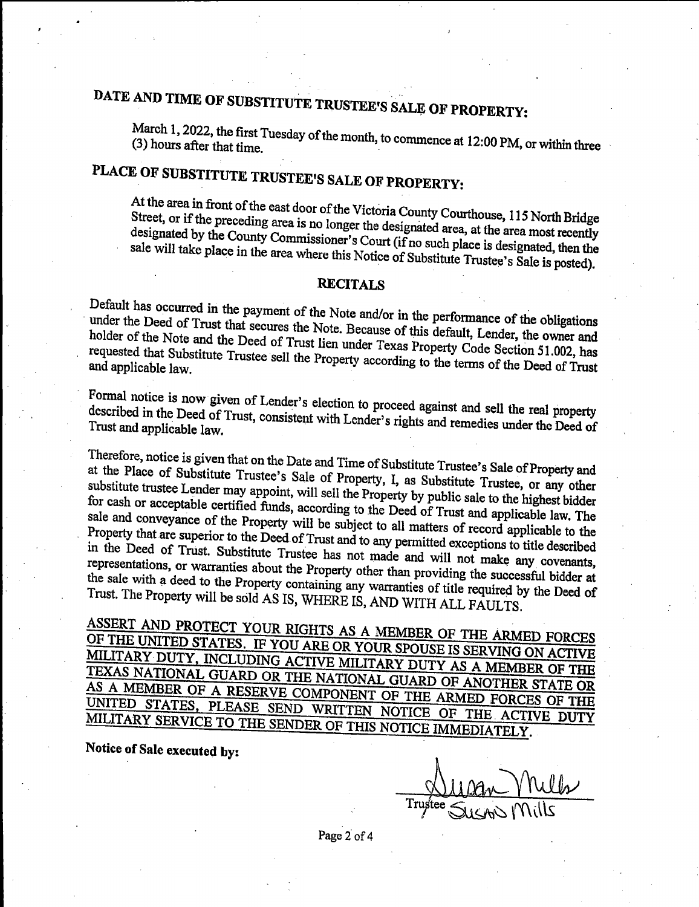# DATE AND TIME OF SUBSTITUTE TRUSTEE'S SALE OF PROPERTY:

March 1, 2022, the first Tuesday of the month, to commence at 12:00 PM, or within three (3) hours after that time.

## PLACE OF SUBSTITUTE TRUSTEE'S SALE OF PROPERTY:

At the area in front of the east door of the Victoria County Courthouse, 115 North Bridge<br>Street, or if the preceding area is no longer the designated area, at the area most recently designated by the County Commissioner's Court (if no such place is designated, then the sale will take place in the area where this Notice of Substitute Trustee's Sale is posted).

### **RECITALS**

Default has occurred in the payment of the Note and/or in the performance of the obligations under the Deed of Trust that secures the Note. Because of this default, Lender, the owner and holder of the Note and the Deed of under the Deed of Trust that secures the Note. Because of this default, Lender, the owner and requested that Substitute Trustee sell the Property consulting the United Section 51.002, has and applicable law. The Substitute 1 repeating to the terms of the Deed of Trust

Formal notice is now given of Lender's election to proceed against and sell the real property described in the Deed of Trust, consistent with Lender's rights and remedies under the Deed of Trust and applicable law. described in the Deed of Trust, consistent with Lender's rights and remedies under the Deed of

Therefore, notice is given that on the Date and Time of Substitute Trustee's Sale of Property and<br>at the Place of Substitute Trustee's Sale of Property, I, as Substitute Trustee, or any other<br>substitute trustee Lender may at the Place of Substitute Trustee's Sale of Property, I, as Substitute Trustee, or any other for cash or acceptable certified funds, according to the Deed of Trust and applicable law. The sale and conveyance of the Property will be subject to all matters of record applicable to the Property that are superior to the Deed of Trust and to subject to all matters of record applicable to the in the Deed of Trust. Substitute  $T_{\text{nust and to any permitted exceptions to title described}$ in the Deed of Trust. Substitute Trustee has not made and will not make any covenants, representations, or warranties about the Property other than providing the successful bidder at the sale with a deed to the Property containing successful about than providing the successful bidder at Trust. The Property will be sold AS IS WILLED IS AND WATCHER AND THE Required by the Deed of Trust. The Property will be sold AS IS, WHERE IS, AND WITH ALL FAULTS.

OF THE UNITED STATES. IF YOU ARE OR YOUR SPOUSE IS SEDVING ON LOWING ING ACTIVE LAW TRANSFOUSE IS SERVING ON ACTIVE MILITARY DUTY, INCLUDING ACTIVE MILITARY DUTY AS A MEMBER OF THE TEXAS NATIONAL GUARD OR THE NATIONAL GUARD OF ANOTHER STATE OR AS A MEMBER OF A RESERVE COMPONENT OF THE ARMED FORCES OF THE UNITED STATES, PLEASE SEND WRITTEN NOTICE OF THE ARMED FORCES OF THE PLEASE SENDED OF THE ACTIVE DUTY MILITARY SERVICE TO THE SENDER OF THIS NOTICE IMMEDIATELY.

Notice of Sale executed by:

 $\frac{1}{2}$ <u>Wan</u> Y'ly Trustee SusAN Mills

Page 2 of 4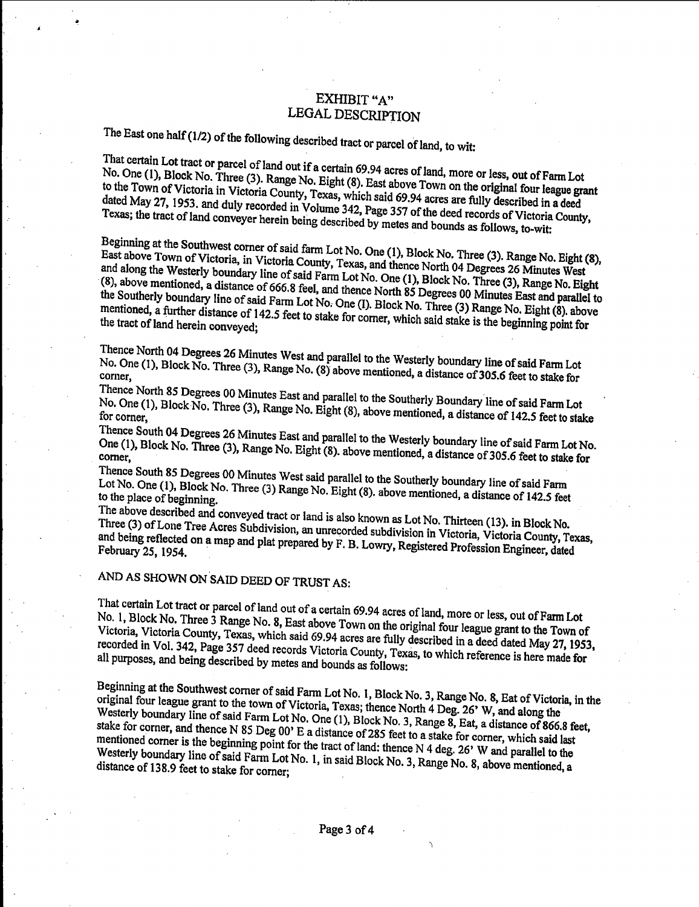### EXHIBIT "A" LEGAL DESCRIPTION

The East one half (1/2) of the following described tract or parcel of land, to wit:<br>That certain Lot tract or parcel of land out if a certain 69.94 acres of land, more or less, out of Farm Lot No. One (1), Block No. Three (3). Range No. Eight (8). East above Town on the original four league grant to the Town of Victoria in Victoria County, Texas, which said 69.94 acres are fully described in a deed dated May 27, 1953. and duly recorded in Volume 342, Page 357 of the deed records of Victoria County, Texas; the tract of land conveyer herein being described by metes and bounds as follows, to-wit:

Beginning at the Southwest corner of said farm Lot No. One (1), Block No. Three (3). Range No. Eight (8), East above Town of Victoria, in Victoria County, Texas, and thence North 04 Degrees 26 Minutes West<br>and along the Westerly boundary line of said Farm Lot No. One (1), Block No. Three (3), Range No. Eight<br>(8), above mention and along the Westerly boundary line of said Farm Lot No. One (1), Block No. Three (3), Range No. Eight  $\frac{18}{18}$  Southerly boundary line of said Farm Lot No. One (1) Block No. Three (2) Degrees 1,  $\frac{18}{18}$  and parallel to  $t$  mentioned, a further distance of 142.5 feet to stake for corner which said rather is declined. Eight (8), above mentioned, a further distance of 142.5 feet to stake for corner, which said stake is the beginning point for the tract of land herein conveved.

Thence North 04 Degrees 26 Minutes West and parallel to the Westerly boundary line of said Farm Lot

No. One (1), Block No. Three (3), Range No. (8) above mentioned, a distance of 305.6 feet to stake for

Thence North 85 Degrees 00 Minutes East and parallel to the Southerly Boundary line of said Farm Lot No. One (1), Block No. Three (3), Range No. Eight (8), above mentioned, a distance of 142.5 feet to stake

Thence South 04 Degrees 26 Minutes East and parallel to the Westerly boundary line ofsaid Farm Lot No. One (1), Block No. Three (3), Range No. Eight (8). above mentioned, a distance of 305.6 feet to stake for<br>corner,<br>Thence South 85 Degrees 00 Minutes West said parallel to the Southerly boundary line of said Farm

Lot No. One (1), Block No. Three (3) Range No.  $F_{\text{int}}$  (9) share  $\frac{1}{2}$  boundary line of said Farm to the place of beginning.<br>The place of 142.5 feet

The above described and conveyed tract or land is also known as Lot No. Thirteen (13). in Block No.<br>Three (3) of Lone Tree Acres Subdivision, an unrecorded subdivision in Victoria, Victoria County, Texas, and being reflected on a map and plat prepared by  $F \times I$  over Peciptage Distance, Victoria County, Texas, February 25, 1954.  $\cdots$   $\cdots$   $\cdots$   $\cdots$   $\cdots$   $\cdots$   $\cdots$   $\cdots$   $\cdots$   $\cdots$   $\cdots$   $\cdots$   $\cdots$   $\cdots$   $\cdots$   $\cdots$   $\cdots$   $\cdots$   $\cdots$   $\cdots$   $\cdots$   $\cdots$   $\cdots$   $\cdots$   $\cdots$   $\cdots$   $\cdots$   $\cdots$   $\cdots$   $\cdots$   $\cdots$   $\cdots$   $\cdots$   $\cdots$ 

### AND AS SHOWN ON SAID DEED OF TRUST AS:

That certain Lot tract or parcel of land out of a certain 69.94 acres of land, more or less, out of Farm Lot No. 1, Block No. Three 3 Range No. 8, East above Town on the original four league grant to the Town of Victoria, No. 1, Block No. Three 3 Range No. 8, East above Town on the original four league grant to the Town of recorded in Vol. 342, Page 357 deed records Victoria County, Transfer and in a deed dated May 27, 1953, all purposes, and being described by metes and bounds as follows:

Beginning at the Southwest corner of said Farm Lot No. 1, Block No. 3, Range No. 8, Eat of Victoria, in the original four league grant to the town of Victoria, Texas; thence North 4 Deg. 26' W, and along the original four league grant to the town of Victoria, Texas; thence North 4 Deg. 26' W, and along the Westerly boundary line of said Farm Lot No. One (1) Block No. 2, Bene 6, B. stake for corner, and thence N 85 Deg 00' F a distance of  $295.5$  feet, and  $\tilde{B}$ , a distance of 866.8 feet, stake for corner, and thence N 85 Deg 00' E a distance of 285 feet to a stake for corner, which said last mentioned corner is the beginning point for the tract of land: thence N 4 deg. 26' W and parallel to the Westerly boundary line of said Farm Lot No. 1, in said Block No. 3, Range No. 8, above mentioned, a distance of 138.9 Westerly boundary line of said Farm Lot No. 1, in said Block No. 3, Range No. 8, above mentioned, a

r,